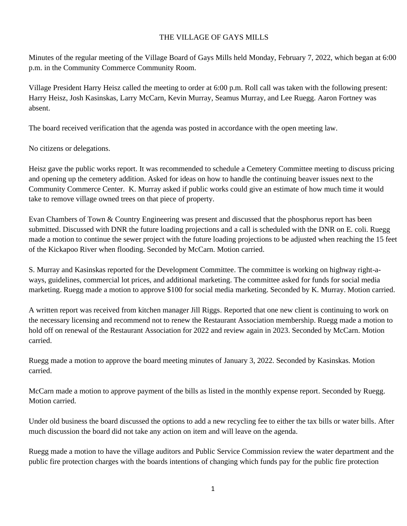## THE VILLAGE OF GAYS MILLS

Minutes of the regular meeting of the Village Board of Gays Mills held Monday, February 7, 2022, which began at 6:00 p.m. in the Community Commerce Community Room.

Village President Harry Heisz called the meeting to order at 6:00 p.m. Roll call was taken with the following present: Harry Heisz, Josh Kasinskas, Larry McCarn, Kevin Murray, Seamus Murray, and Lee Ruegg. Aaron Fortney was absent.

The board received verification that the agenda was posted in accordance with the open meeting law.

No citizens or delegations.

Heisz gave the public works report. It was recommended to schedule a Cemetery Committee meeting to discuss pricing and opening up the cemetery addition. Asked for ideas on how to handle the continuing beaver issues next to the Community Commerce Center. K. Murray asked if public works could give an estimate of how much time it would take to remove village owned trees on that piece of property.

Evan Chambers of Town & Country Engineering was present and discussed that the phosphorus report has been submitted. Discussed with DNR the future loading projections and a call is scheduled with the DNR on E. coli. Ruegg made a motion to continue the sewer project with the future loading projections to be adjusted when reaching the 15 feet of the Kickapoo River when flooding. Seconded by McCarn. Motion carried.

S. Murray and Kasinskas reported for the Development Committee. The committee is working on highway right-aways, guidelines, commercial lot prices, and additional marketing. The committee asked for funds for social media marketing. Ruegg made a motion to approve \$100 for social media marketing. Seconded by K. Murray. Motion carried.

A written report was received from kitchen manager Jill Riggs. Reported that one new client is continuing to work on the necessary licensing and recommend not to renew the Restaurant Association membership. Ruegg made a motion to hold off on renewal of the Restaurant Association for 2022 and review again in 2023. Seconded by McCarn. Motion carried.

Ruegg made a motion to approve the board meeting minutes of January 3, 2022. Seconded by Kasinskas. Motion carried.

McCarn made a motion to approve payment of the bills as listed in the monthly expense report. Seconded by Ruegg. Motion carried.

Under old business the board discussed the options to add a new recycling fee to either the tax bills or water bills. After much discussion the board did not take any action on item and will leave on the agenda.

Ruegg made a motion to have the village auditors and Public Service Commission review the water department and the public fire protection charges with the boards intentions of changing which funds pay for the public fire protection